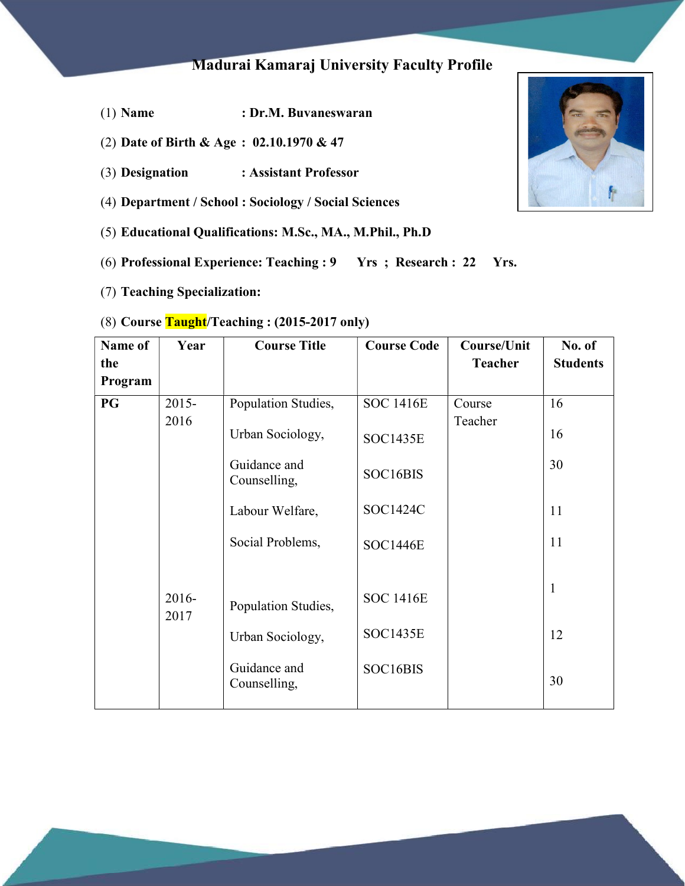# Madurai Kamaraj University Faculty Profile

- (1) Name : Dr.M. Buvaneswaran
- (2) Date of Birth & Age : 02.10.1970 & 47
- (3) Designation : Assistant Professor
- (4) Department / School : Sociology / Social Sciences
- (5) Educational Qualifications: M.Sc., MA., M.Phil., Ph.D
- (6) Professional Experience: Teaching : 9 Yrs ; Research : 22 Yrs.
- (7) Teaching Specialization:

### (8) Course  $Taudht/Teaching: (2015-2017 only)$

| Name of<br>the | Year             | <b>Course Title</b>                                                     | <b>Course Code</b>                              | <b>Course/Unit</b><br><b>Teacher</b> | No. of<br><b>Students</b> |
|----------------|------------------|-------------------------------------------------------------------------|-------------------------------------------------|--------------------------------------|---------------------------|
| Program        |                  |                                                                         |                                                 |                                      |                           |
| <b>PG</b>      | $2015 -$<br>2016 | Population Studies,<br>Urban Sociology,<br>Guidance and<br>Counselling, | <b>SOC 1416E</b><br><b>SOC1435E</b><br>SOC16BIS | Course<br>Teacher                    | 16<br>16<br>30            |
|                |                  | Labour Welfare,<br>Social Problems,                                     | SOC1424C<br><b>SOC1446E</b>                     |                                      | 11<br>11                  |
|                | 2016-<br>2017    | Population Studies,<br>Urban Sociology,<br>Guidance and<br>Counselling, | <b>SOC 1416E</b><br><b>SOC1435E</b><br>SOC16BIS |                                      | $\mathbf{1}$<br>12<br>30  |

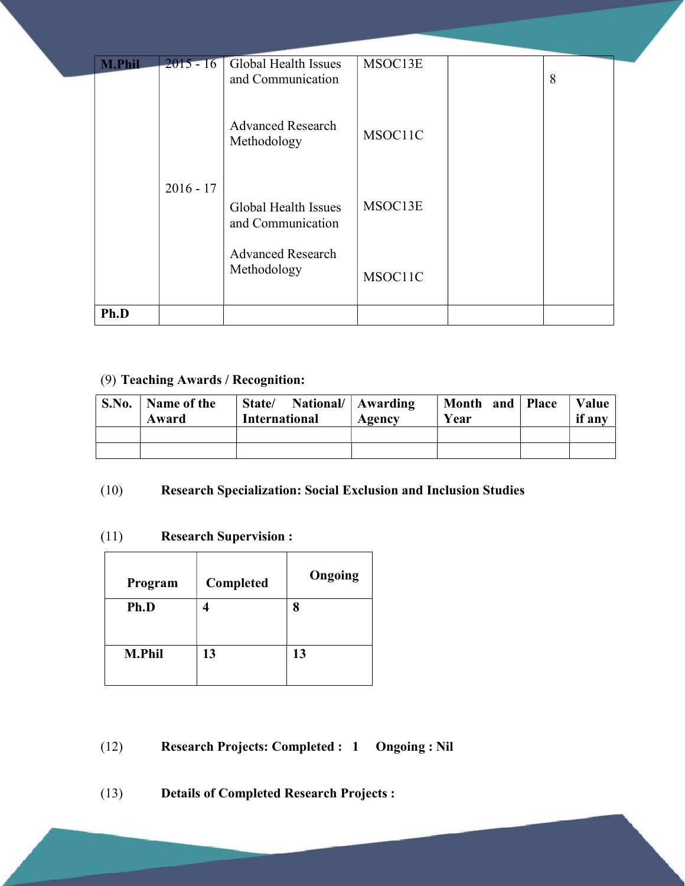| <b>M.Phil</b> | $2015 - 16$ | <b>Global Health Issues</b><br>and Communication | MSOC13E | 8 |  |
|---------------|-------------|--------------------------------------------------|---------|---|--|
|               |             | <b>Advanced Research</b><br>Methodology          | MSOC11C |   |  |
|               | $2016 - 17$ | Global Health Issues<br>and Communication        | MSOC13E |   |  |
|               |             | <b>Advanced Research</b><br>Methodology          | MSOC11C |   |  |
| Ph.D          |             |                                                  |         |   |  |

## (9) Teaching Awards / Recognition:

| S.No. | Name of the<br>Award | National/   Awarding<br>State/<br><b>International</b> | Agency | Month and<br>Year | <b>Place</b> | Value<br>if any |
|-------|----------------------|--------------------------------------------------------|--------|-------------------|--------------|-----------------|
|       |                      |                                                        |        |                   |              |                 |
|       |                      |                                                        |        |                   |              |                 |

## (10) Research Specialization: Social Exclusion and Inclusion Studies

#### (11) Research Supervision :

| Program       | Completed | Ongoing |
|---------------|-----------|---------|
| Ph.D          |           |         |
|               |           |         |
| <b>M.Phil</b> | 13        | 13      |
|               |           |         |

(12) Research Projects: Completed : 1 Ongoing : Nil

(13) Details of Completed Research Projects :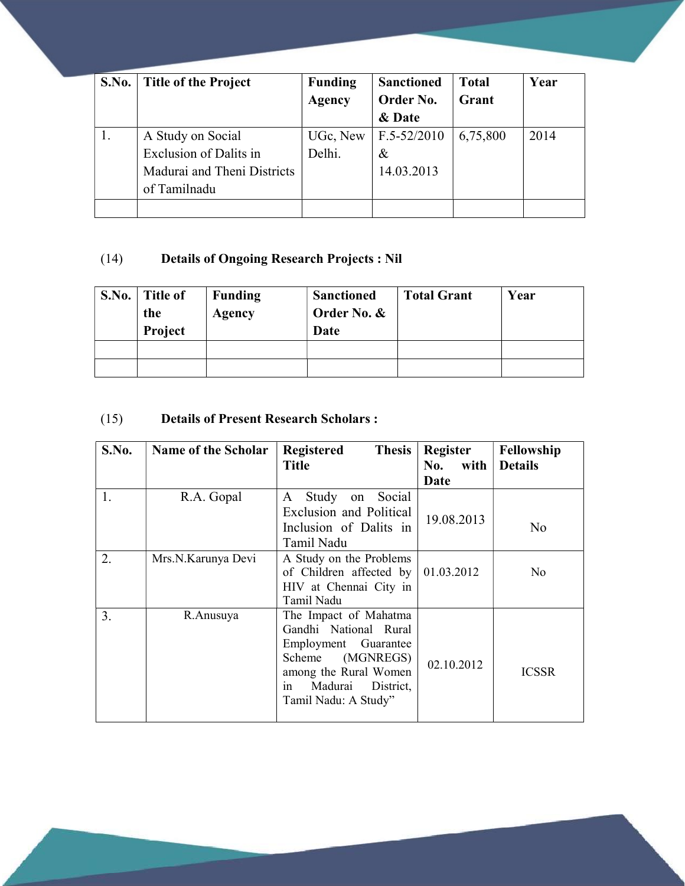| S.No. | <b>Title of the Project</b>   | <b>Funding</b> | <b>Sanctioned</b> | <b>Total</b> | Year |
|-------|-------------------------------|----------------|-------------------|--------------|------|
|       |                               | Agency         | Order No.         | Grant        |      |
|       |                               |                | & Date            |              |      |
|       | A Study on Social             | UGc, New       | $F.5 - 52/2010$   | 6,75,800     | 2014 |
|       | <b>Exclusion of Dalits in</b> | Delhi.         | &                 |              |      |
|       | Madurai and Theni Districts   |                | 14.03.2013        |              |      |
|       | of Tamilnadu                  |                |                   |              |      |
|       |                               |                |                   |              |      |

## (14) Details of Ongoing Research Projects : Nil

| S.No. | <b>Title of</b><br>the<br>Project | <b>Funding</b><br>Agency | <b>Sanctioned</b><br>Order No. &<br>Date | <b>Total Grant</b> | Year |
|-------|-----------------------------------|--------------------------|------------------------------------------|--------------------|------|
|       |                                   |                          |                                          |                    |      |
|       |                                   |                          |                                          |                    |      |

## (15) Details of Present Research Scholars :

| S.No. | <b>Name of the Scholar</b> | <b>Thesis</b><br>Registered<br><b>Title</b>                                                                                                                                  | <b>Register</b><br>with<br>No.<br>Date | Fellowship<br><b>Details</b> |
|-------|----------------------------|------------------------------------------------------------------------------------------------------------------------------------------------------------------------------|----------------------------------------|------------------------------|
| 1.    | R.A. Gopal                 | Study<br>Social<br>A<br>on<br>Exclusion and Political<br>Inclusion of Dalits in<br>Tamil Nadu                                                                                | 19.08.2013                             | N <sub>0</sub>               |
| 2.    | Mrs.N.Karunya Devi         | A Study on the Problems<br>of Children affected by<br>HIV at Chennai City in<br>Tamil Nadu                                                                                   | 01.03.2012                             | N <sub>0</sub>               |
| 3.    | R.Anusuya                  | The Impact of Mahatma<br>Gandhi National Rural<br>Employment Guarantee<br>(MGNREGS)<br>Scheme<br>among the Rural Women<br>Madurai<br>District,<br>1n<br>Tamil Nadu: A Study" | 02.10.2012                             | <b>ICSSR</b>                 |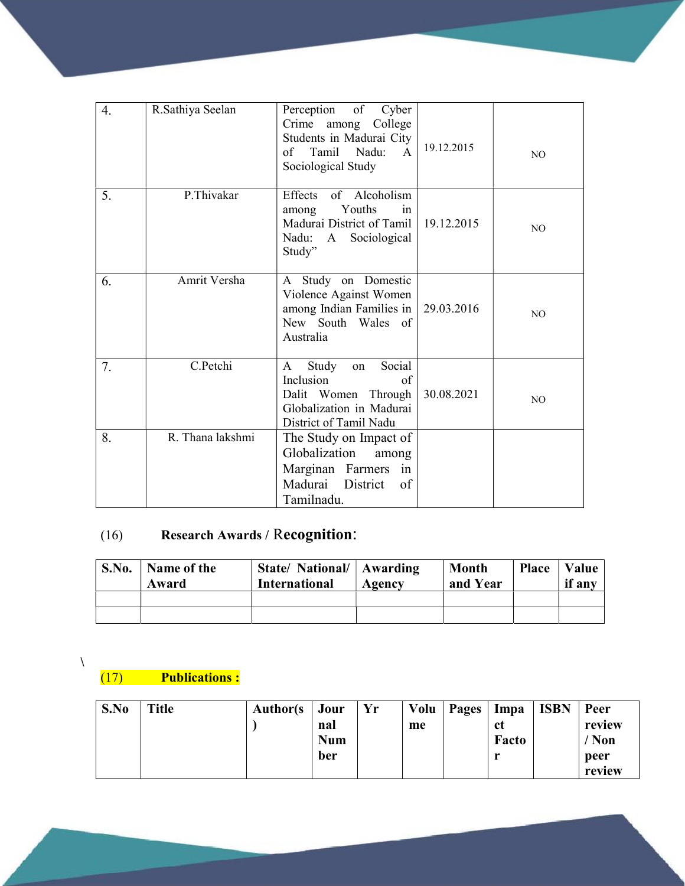| 4. | R.Sathiya Seelan | Perception<br>of<br>Cyber<br>Crime among College<br>Students in Madurai City<br>Tamil Nadu:<br>of<br>$\mathsf{A}$<br>Sociological Study | 19.12.2015 | N <sub>O</sub> |
|----|------------------|-----------------------------------------------------------------------------------------------------------------------------------------|------------|----------------|
| 5. | P.Thivakar       | Effects of Alcoholism<br>Youths<br>among<br>in<br>Madurai District of Tamil<br>Nadu: A Sociological<br>Study"                           | 19.12.2015 | N <sub>O</sub> |
| 6. | Amrit Versha     | A Study on Domestic<br>Violence Against Women<br>among Indian Families in<br>New South Wales of<br>Australia                            | 29.03.2016 | N <sub>O</sub> |
| 7. | C.Petchi         | Social<br>Study<br>A<br>on<br>Inclusion<br>of<br>Dalit Women Through<br>Globalization in Madurai<br>District of Tamil Nadu              | 30.08.2021 | N <sub>O</sub> |
| 8. | R. Thana lakshmi | The Study on Impact of<br>Globalization<br>among<br>Marginan Farmers<br>in<br>Madurai District<br>of<br>Tamilnadu.                      |            |                |

# (16) Research Awards / Recognition:

| S.No. | Name of the<br>Award | State/ National/   Awarding<br><b>International</b> | Agency | <b>Month</b><br>and Year | <b>Place</b> | Value<br>if any |
|-------|----------------------|-----------------------------------------------------|--------|--------------------------|--------------|-----------------|
|       |                      |                                                     |        |                          |              |                 |
|       |                      |                                                     |        |                          |              |                 |

 $\chi$ 

(17) Publications :

| S.No | <b>Title</b> | <b>Author(s)</b> | Jour<br>nal<br><b>Num</b> | Yr | Volu<br>me | Pages | Impa<br>ct<br>Facto | <b>ISBN</b> | Peer<br>review<br>Non |
|------|--------------|------------------|---------------------------|----|------------|-------|---------------------|-------------|-----------------------|
|      |              |                  | ber                       |    |            |       |                     |             | peer<br>review        |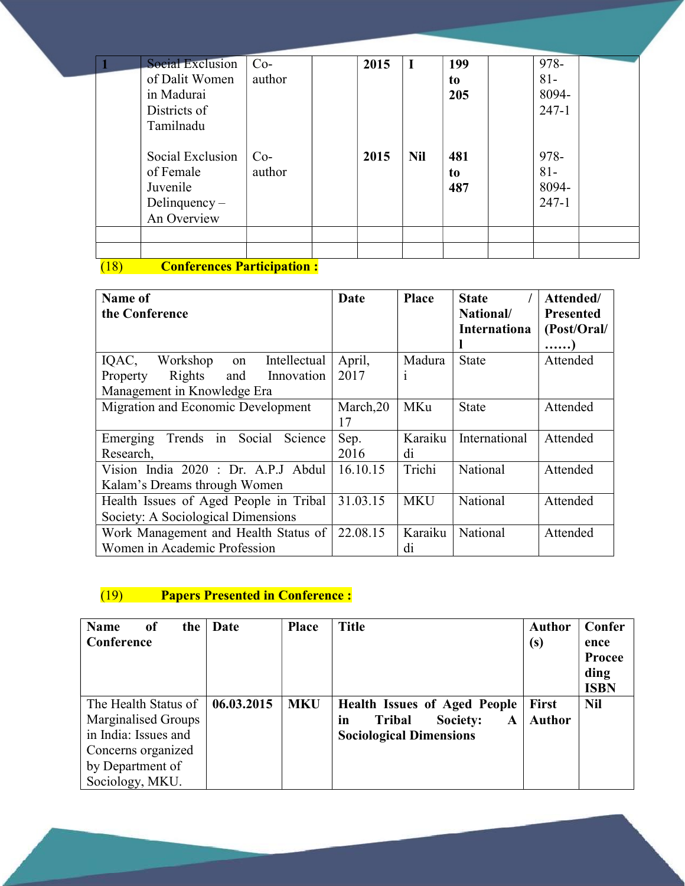| <b>Social Exclusion</b> | $Co-$  | 2015 | $\bf I$    | 199 | 978-      |  |
|-------------------------|--------|------|------------|-----|-----------|--|
| of Dalit Women          | author |      |            | to  | $81 -$    |  |
| in Madurai              |        |      |            | 205 | 8094-     |  |
| Districts of            |        |      |            |     | $247 - 1$ |  |
| Tamilnadu               |        |      |            |     |           |  |
| Social Exclusion        | $Co-$  | 2015 | <b>Nil</b> | 481 | 978-      |  |
| of Female               | author |      |            | to  | $81 -$    |  |
| Juvenile                |        |      |            | 487 | 8094-     |  |
| Delinquency $-$         |        |      |            |     | $247 - 1$ |  |
| An Overview             |        |      |            |     |           |  |
|                         |        |      |            |     |           |  |
|                         |        |      |            |     |           |  |

## (18) Conferences Participation :

| Name of                                    | Date      | <b>Place</b> | <b>State</b>        | Attended/        |
|--------------------------------------------|-----------|--------------|---------------------|------------------|
| the Conference                             |           |              | National/           | <b>Presented</b> |
|                                            |           |              | <b>Internationa</b> | (Post/Oral/      |
|                                            |           |              |                     | . )              |
| IQAC,<br>Workshop<br>Intellectual<br>on    | April,    | Madura       | <b>State</b>        | Attended         |
| Rights<br>and<br>Property<br>Innovation    | 2017      | $\mathbf{1}$ |                     |                  |
| Management in Knowledge Era                |           |              |                     |                  |
| Migration and Economic Development         | March, 20 | MKu          | <b>State</b>        | Attended         |
|                                            | 17        |              |                     |                  |
| Trends in<br>Social<br>Science<br>Emerging | Sep.      | Karaiku      | International       | Attended         |
| Research,                                  | 2016      | di           |                     |                  |
| Vision India 2020 : Dr. A.P.J Abdul        | 16.10.15  | Trichi       | National            | Attended         |
| Kalam's Dreams through Women               |           |              |                     |                  |
| Health Issues of Aged People in Tribal     | 31.03.15  | <b>MKU</b>   | National            | Attended         |
| Society: A Sociological Dimensions         |           |              |                     |                  |
| Work Management and Health Status of       | 22.08.15  | Karaiku      | National            | Attended         |
| Women in Academic Profession               |           | di           |                     |                  |

## (19) Papers Presented in Conference :

| <b>Name</b><br><sub>of</sub><br>the<br>Conference                                                                                | Date       | <b>Place</b> | <b>Title</b>                                                                                                  | Author<br>(s)                 | Confer<br>ence<br><b>Procee</b><br>ding<br><b>ISBN</b> |
|----------------------------------------------------------------------------------------------------------------------------------|------------|--------------|---------------------------------------------------------------------------------------------------------------|-------------------------------|--------------------------------------------------------|
| The Health Status of<br>Marginalised Groups<br>in India: Issues and<br>Concerns organized<br>by Department of<br>Sociology, MKU. | 06.03.2015 | <b>MKU</b>   | <b>Health Issues of Aged People</b><br>in<br>Society:<br><b>Tribal</b><br>A<br><b>Sociological Dimensions</b> | <b>First</b><br><b>Author</b> | <b>Nil</b>                                             |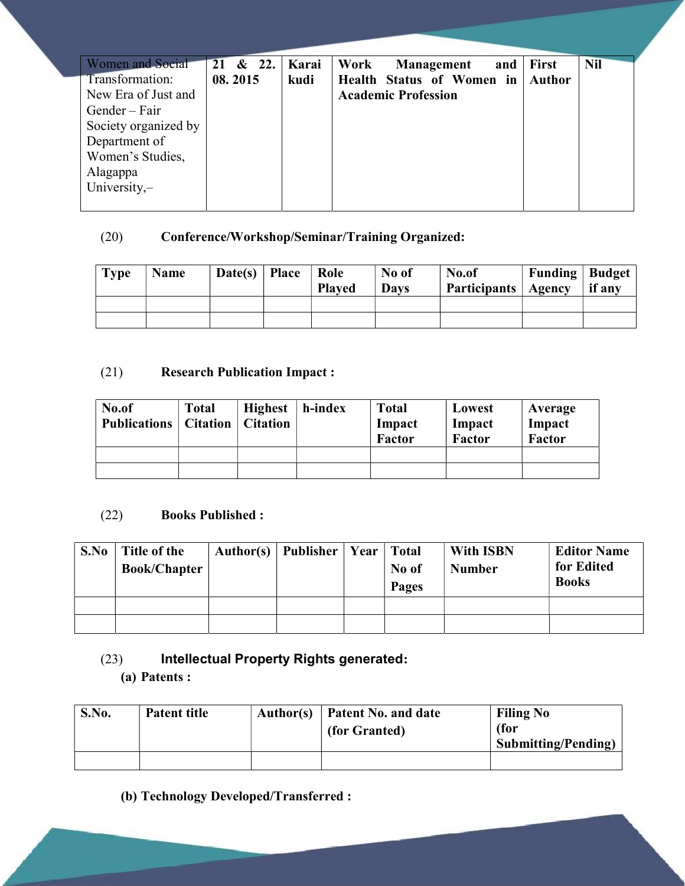| <b>Women and Social</b> | & 22.<br>21 | Karai | Work<br>and  <br>Management | <b>First</b>  | <b>Nil</b> |
|-------------------------|-------------|-------|-----------------------------|---------------|------------|
| Transformation:         | 08.2015     | kudi  | Health Status of Women in   | <b>Author</b> |            |
| New Era of Just and     |             |       | <b>Academic Profession</b>  |               |            |
| Gender – Fair           |             |       |                             |               |            |
| Society organized by    |             |       |                             |               |            |
| Department of           |             |       |                             |               |            |
| Women's Studies,        |             |       |                             |               |            |
| Alagappa                |             |       |                             |               |            |
| University,-            |             |       |                             |               |            |
|                         |             |       |                             |               |            |

## (20) Conference/Workshop/Seminar/Training Organized:

| <b>Type</b> | <b>Name</b> | Date(s)   Place | Role<br><b>Played</b> | No of<br><b>Days</b> | No.of<br>Participants   Agency | Funding   Budget | if any |
|-------------|-------------|-----------------|-----------------------|----------------------|--------------------------------|------------------|--------|
|             |             |                 |                       |                      |                                |                  |        |
|             |             |                 |                       |                      |                                |                  |        |

## (21) Research Publication Impact :

| No.of<br><b>Publications</b>   Citation | <b>Total</b> | <b>Highest</b><br><b>Citation</b> | h-index | <b>Total</b><br>Impact<br><b>Factor</b> | Lowest<br>Impact<br><b>Factor</b> | Average<br>Impact<br>Factor |
|-----------------------------------------|--------------|-----------------------------------|---------|-----------------------------------------|-----------------------------------|-----------------------------|
|                                         |              |                                   |         |                                         |                                   |                             |
|                                         |              |                                   |         |                                         |                                   |                             |

## (22) Books Published :

| S.No | Title of the<br><b>Book/Chapter</b> | Author(s)   Publisher   Year   Total | No of<br><b>Pages</b> | <b>With ISBN</b><br><b>Number</b> | <b>Editor Name</b><br>for Edited<br><b>Books</b> |
|------|-------------------------------------|--------------------------------------|-----------------------|-----------------------------------|--------------------------------------------------|
|      |                                     |                                      |                       |                                   |                                                  |
|      |                                     |                                      |                       |                                   |                                                  |

## (23) Intellectual Property Rights generated:

(a) Patents :

| S.No. | <b>Patent title</b> | Author(s) | Patent No. and date<br>(for Granted) | <b>Filing No</b><br>(for<br><b>Submitting/Pending)</b> |
|-------|---------------------|-----------|--------------------------------------|--------------------------------------------------------|
|       |                     |           |                                      |                                                        |

(b) Technology Developed/Transferred :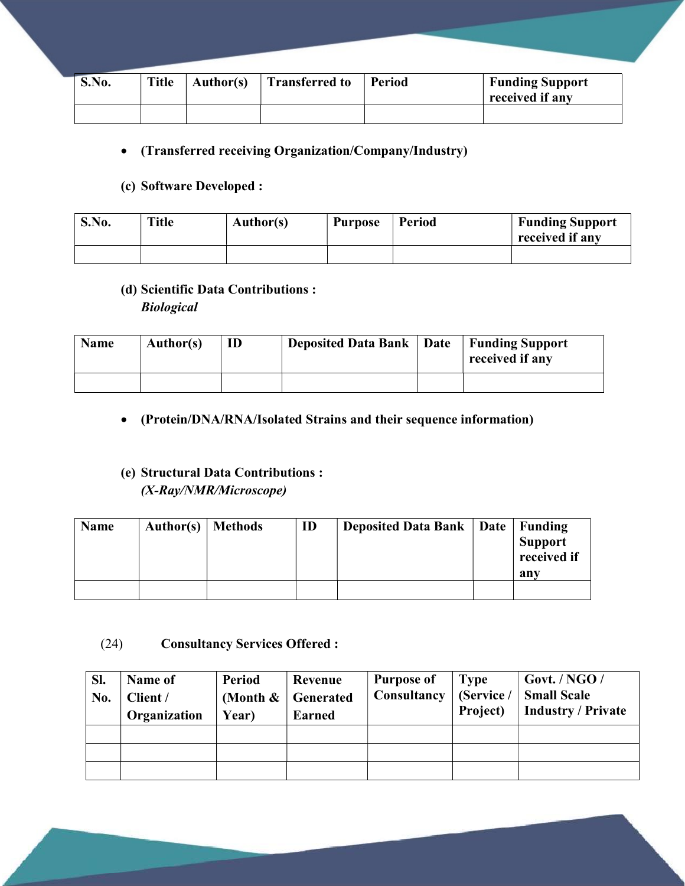| S.No. | <b>Title</b> | <b>Author(s)</b> | <b>Transferred to</b> | Period | <b>Funding Support</b><br>received if any |
|-------|--------------|------------------|-----------------------|--------|-------------------------------------------|
|       |              |                  |                       |        |                                           |

#### (Transferred receiving Organization/Company/Industry)

#### (c) Software Developed :

| S.No. | <b>Title</b> | <b>Author(s)</b> | <b>Purpose</b> | Period | <b>Funding Support</b><br>received if any |
|-------|--------------|------------------|----------------|--------|-------------------------------------------|
|       |              |                  |                |        |                                           |

#### (d) Scientific Data Contributions :

Biological

| <b>Name</b> | Author(s) | ID | <b>Deposited Data Bank</b> | Date | <b>Funding Support</b><br>received if any |
|-------------|-----------|----|----------------------------|------|-------------------------------------------|
|             |           |    |                            |      |                                           |

#### (Protein/DNA/RNA/Isolated Strains and their sequence information)

# (e) Structural Data Contributions :

(X-Ray/NMR/Microscope)

| <b>Name</b> | Author(s)   Methods | ID | <b>Deposited Data Bank   Date  </b> | Funding        |
|-------------|---------------------|----|-------------------------------------|----------------|
|             |                     |    |                                     | <b>Support</b> |
|             |                     |    |                                     | received if    |
|             |                     |    |                                     | any            |
|             |                     |    |                                     |                |

#### (24) Consultancy Services Offered :

| Sl.<br>No. | Name of<br>Client /<br>Organization | Period<br>Year) | Revenue<br>(Month $\&$   Generated<br><b>Earned</b> | <b>Purpose of</b><br>Consultancy   (Service / | <b>Type</b><br>Project) | Govt. / NGO /<br><b>Small Scale</b><br>Industry / Private |
|------------|-------------------------------------|-----------------|-----------------------------------------------------|-----------------------------------------------|-------------------------|-----------------------------------------------------------|
|            |                                     |                 |                                                     |                                               |                         |                                                           |
|            |                                     |                 |                                                     |                                               |                         |                                                           |
|            |                                     |                 |                                                     |                                               |                         |                                                           |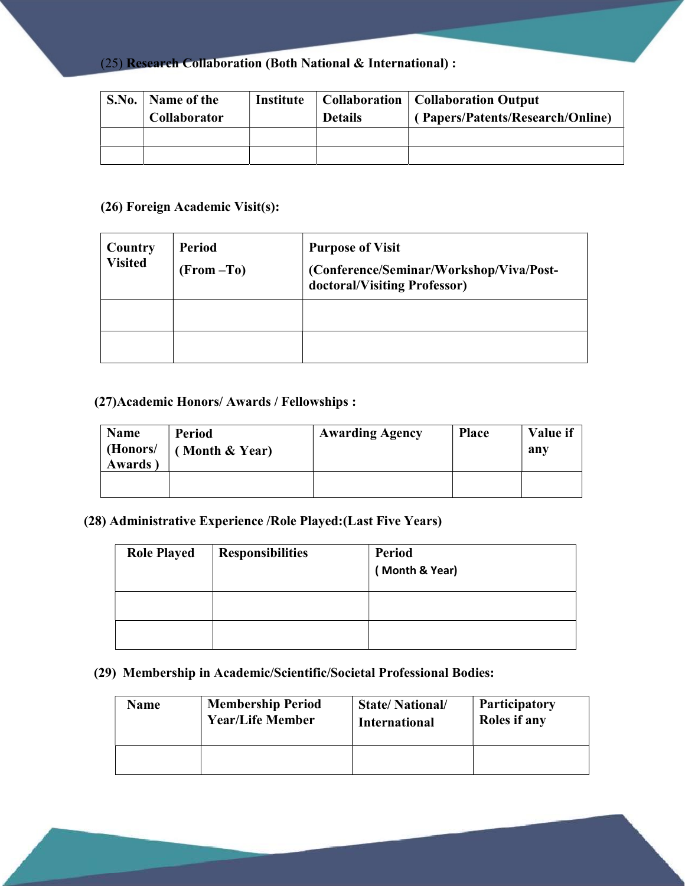(25) Research Collaboration (Both National & International) :

| $^{\circ}$ S.No. | Name of the<br><b>Collaborator</b> | Institute | <b>Details</b> | <b>Collaboration   Collaboration Output</b><br>(Papers/Patents/Research/Online) |
|------------------|------------------------------------|-----------|----------------|---------------------------------------------------------------------------------|
|                  |                                    |           |                |                                                                                 |
|                  |                                    |           |                |                                                                                 |

## (26) Foreign Academic Visit(s):

| Country<br><b>Visited</b> | Period<br>(From –To) | <b>Purpose of Visit</b><br>(Conference/Seminar/Workshop/Viva/Post-<br>doctoral/Visiting Professor) |
|---------------------------|----------------------|----------------------------------------------------------------------------------------------------|
|                           |                      |                                                                                                    |
|                           |                      |                                                                                                    |

### (27)Academic Honors/ Awards / Fellowships :

| Name<br>(Honors/<br><b>Awards</b> | Period<br>Month & Year) | <b>Awarding Agency</b> | <b>Place</b> | Value if<br>any |
|-----------------------------------|-------------------------|------------------------|--------------|-----------------|
|                                   |                         |                        |              |                 |

#### (28) Administrative Experience /Role Played:(Last Five Years)

| <b>Role Played</b> | <b>Responsibilities</b> | <b>Period</b><br>(Month & Year) |
|--------------------|-------------------------|---------------------------------|
|                    |                         |                                 |
|                    |                         |                                 |

### (29) Membership in Academic/Scientific/Societal Professional Bodies:

| Name | <b>Membership Period</b> | <b>State/National/</b> | <b>Participatory</b> |
|------|--------------------------|------------------------|----------------------|
|      | <b>Year/Life Member</b>  | International          | Roles if any         |
|      |                          |                        |                      |